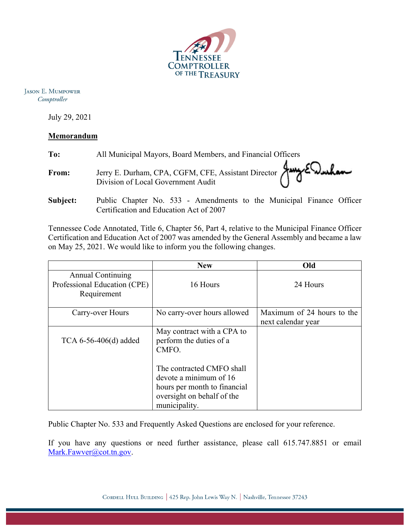

**JASON E. MUMPOWER** Comptroller

July 29, 2021

## **Memorandum**

| To:      | All Municipal Mayors, Board Members, and Financial Officers                                                     |  |  |
|----------|-----------------------------------------------------------------------------------------------------------------|--|--|
| From:    | Jerry E. Durham, CPA, CGFM, CFE, Assistant Director Jury EQuelan                                                |  |  |
| Subject: | Public Chapter No. 533 - Amendments to the Municipal Finance Officer<br>Certification and Education Act of 2007 |  |  |

Tennessee Code Annotated, Title 6, Chapter 56, Part 4, relative to the Municipal Finance Officer Certification and Education Act of 2007 was amended by the General Assembly and became a law on May 25, 2021. We would like to inform you the following changes.

|                                                                         | <b>New</b>                                                                                                                         | Old                                              |
|-------------------------------------------------------------------------|------------------------------------------------------------------------------------------------------------------------------------|--------------------------------------------------|
| <b>Annual Continuing</b><br>Professional Education (CPE)<br>Requirement | 16 Hours                                                                                                                           | 24 Hours                                         |
| Carry-over Hours                                                        | No carry-over hours allowed                                                                                                        | Maximum of 24 hours to the<br>next calendar year |
| TCA $6-56-406(d)$ added                                                 | May contract with a CPA to<br>perform the duties of a<br>CMFO.                                                                     |                                                  |
|                                                                         | The contracted CMFO shall<br>devote a minimum of 16<br>hours per month to financial<br>oversight on behalf of the<br>municipality. |                                                  |

Public Chapter No. 533 and Frequently Asked Questions are enclosed for your reference.

If you have any questions or need further assistance, please call 615.747.8851 or email Mark.Fawver@cot.tn.gov.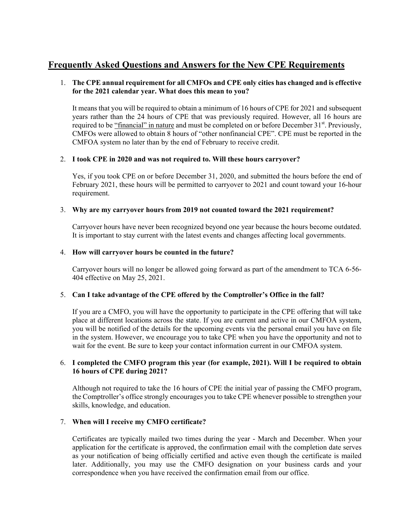# **Frequently Asked Questions and Answers for the New CPE Requirements**

#### 1. **The CPE annual requirement for all CMFOs and CPE only cities has changed and is effective for the 2021 calendar year. What does this mean to you?**

It means that you will be required to obtain a minimum of 16 hours of CPE for 2021 and subsequent years rather than the 24 hours of CPE that was previously required. However, all 16 hours are required to be "financial" in nature and must be completed on or before December 31<sup>st</sup>. Previously, CMFOs were allowed to obtain 8 hours of "other nonfinancial CPE". CPE must be reported in the CMFOA system no later than by the end of February to receive credit.

#### 2. **I took CPE in 2020 and was not required to. Will these hours carryover?**

Yes, if you took CPE on or before December 31, 2020, and submitted the hours before the end of February 2021, these hours will be permitted to carryover to 2021 and count toward your 16-hour requirement.

#### 3. **Why are my carryover hours from 2019 not counted toward the 2021 requirement?**

Carryover hours have never been recognized beyond one year because the hours become outdated. It is important to stay current with the latest events and changes affecting local governments.

#### 4. **How will carryover hours be counted in the future?**

Carryover hours will no longer be allowed going forward as part of the amendment to TCA 6-56- 404 effective on May 25, 2021.

### 5. **Can I take advantage of the CPE offered by the Comptroller's Office in the fall?**

If you are a CMFO, you will have the opportunity to participate in the CPE offering that will take place at different locations across the state. If you are current and active in our CMFOA system, you will be notified of the details for the upcoming events via the personal email you have on file in the system. However, we encourage you to take CPE when you have the opportunity and not to wait for the event. Be sure to keep your contact information current in our CMFOA system.

#### 6. **I completed the CMFO program this year (for example, 2021). Will I be required to obtain 16 hours of CPE during 2021?**

Although not required to take the 16 hours of CPE the initial year of passing the CMFO program, the Comptroller's office strongly encourages you to take CPE whenever possible to strengthen your skills, knowledge, and education.

#### 7. **When will I receive my CMFO certificate?**

Certificates are typically mailed two times during the year - March and December. When your application for the certificate is approved, the confirmation email with the completion date serves as your notification of being officially certified and active even though the certificate is mailed later. Additionally, you may use the CMFO designation on your business cards and your correspondence when you have received the confirmation email from our office.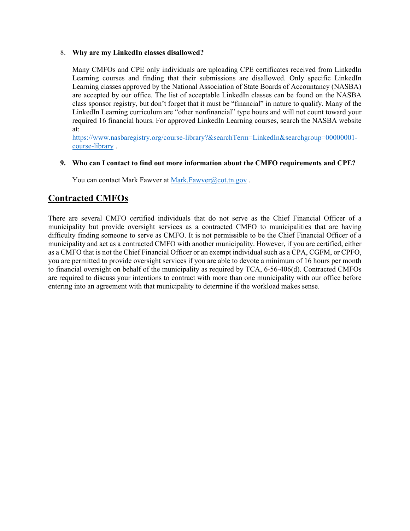#### 8. **Why are my LinkedIn classes disallowed?**

Many CMFOs and CPE only individuals are uploading CPE certificates received from LinkedIn Learning courses and finding that their submissions are disallowed. Only specific LinkedIn Learning classes approved by the National Association of State Boards of Accountancy (NASBA) are accepted by our office. The list of acceptable LinkedIn classes can be found on the NASBA class sponsor registry, but don't forget that it must be "financial" in nature to qualify. Many of the LinkedIn Learning curriculum are "other nonfinancial" type hours and will not count toward your required 16 financial hours. For approved LinkedIn Learning courses, search the NASBA website at:

https://www.nasbaregistry.org/course-library?&searchTerm=LinkedIn&searchgroup=00000001 course-library .

#### **9. Who can I contact to find out more information about the CMFO requirements and CPE?**

You can contact Mark Fawver at Mark.Fawver@cot.tn.gov.

# **Contracted CMFOs**

There are several CMFO certified individuals that do not serve as the Chief Financial Officer of a municipality but provide oversight services as a contracted CMFO to municipalities that are having difficulty finding someone to serve as CMFO. It is not permissible to be the Chief Financial Officer of a municipality and act as a contracted CMFO with another municipality. However, if you are certified, either as a CMFO that is not the Chief Financial Officer or an exempt individual such as a CPA, CGFM, or CPFO, you are permitted to provide oversight services if you are able to devote a minimum of 16 hours per month to financial oversight on behalf of the municipality as required by TCA, 6-56-406(d). Contracted CMFOs are required to discuss your intentions to contract with more than one municipality with our office before entering into an agreement with that municipality to determine if the workload makes sense.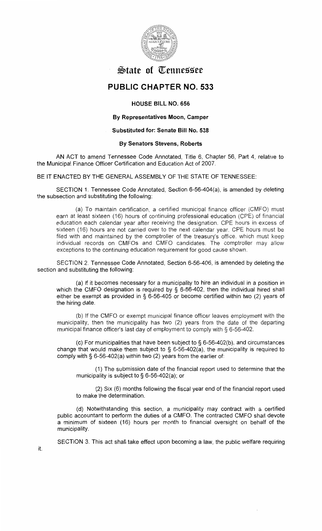

# **State of Tennessee**

# **PUBLIC CHAPTER NO. 533**

# **HOUSE BILL NO. 656**

### **By Representatives Moon, Camper**

## **Substituted for: Senate Bill No. 538**

#### **By Senators Stevens, Roberts**

AN ACT to amend Tennessee Code Annotated, Title 6, Chapter 56, Part 4, relative to the Municipal Finance Officer Certification and Education Act of 2007.

BE IT ENACTED BY THE GENERAL ASSEMBLY OF THE STATE OF TENNESSEE:

SECTION 1. Tennessee Code Annotated, Section 6-56-404(a), is amended by deleting the subsection and substituting the following:

(a) To maintain certification, a certified municipal finance officer (CMFO) must earn at least sixteen (16) hours of continuing professional education (CPE) of financial education each calendar year after receiving the designation. CPE hours in excess of sixteen (16) hours are not carried over to the next calendar year. CPE hours must be filed with and maintained by the comptroller of the treasury's office. which must keep individual records on CMFOs and CMFO candidates. The comptroller may allow exceptions to the continuing education requirement for good cause shown.

SECTION 2. Tennessee Code Annotated, Section 6-56-406, is amended by deleting the section and substituting the following:

(a) If it becomes necessary for a municipality to hire an individual in a position in which the CMFO designation is required by § 6-56-402, then the individual hired shall either be exempt as provided in § 6-56-405 or become certified within two (2) years of the hiring date.

(b) If the CMFO or exempt municipal finance officer leaves employment with the municipality, then the municipality has two (2) years from the date of the departing municipal finance officer's last day of employment to comply with § 6-56-402.

(c) For municipalities that have been subject to§ 6-56-402(b), and circumstances change that would make them subject to  $\S$  6-56-402(a), the municipality is required to comply with § 6-56-402(a) within two (2) years from the earlier of:

(1) The submission date of the financial report used to determine that the municipality is subject to § 6-56-402(a); or

(2) Six (6) months following the fiscal year end of the financial report used to make the determination.

(d) Notwithstanding this section, a municipality may contract with a certified public accountant to perform the duties of a CMFO. The contracted CMFO shall devote a minimum of sixteen (16) hours per month to financial oversight on behalf of the municipality.

SECTION 3. This act shall take effect upon becoming a law, the public welfare requiring